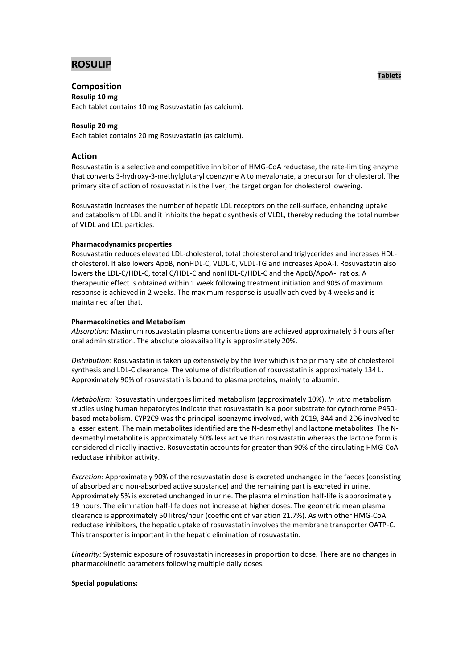# **ROSULIP**

## **Composition**

#### **Rosulip 10 mg**

Each tablet contains 10 mg Rosuvastatin (as calcium).

### **Rosulip 20 mg**

Each tablet contains 20 mg Rosuvastatin (as calcium).

### **Action**

Rosuvastatin is a selective and competitive inhibitor of HMG-CoA reductase, the rate-limiting enzyme that converts 3-hydroxy-3-methylglutaryl coenzyme A to mevalonate, a precursor for cholesterol. The primary site of action of rosuvastatin is the liver, the target organ for cholesterol lowering.

Rosuvastatin increases the number of hepatic LDL receptors on the cell-surface, enhancing uptake and catabolism of LDL and it inhibits the hepatic synthesis of VLDL, thereby reducing the total number of VLDL and LDL particles.

### **Pharmacodynamics properties**

Rosuvastatin reduces elevated LDL-cholesterol, total cholesterol and triglycerides and increases HDLcholesterol. It also lowers ApoB, nonHDL-C, VLDL-C, VLDL-TG and increases ApoA-I. Rosuvastatin also lowers the LDL-C/HDL-C, total C/HDL-C and nonHDL-C/HDL-C and the ApoB/ApoA-I ratios. A therapeutic effect is obtained within 1 week following treatment initiation and 90% of maximum response is achieved in 2 weeks. The maximum response is usually achieved by 4 weeks and is maintained after that.

### **Pharmacokinetics and Metabolism**

*Absorption:* Maximum rosuvastatin plasma concentrations are achieved approximately 5 hours after oral administration. The absolute bioavailability is approximately 20%.

*Distribution:* Rosuvastatin is taken up extensively by the liver which is the primary site of cholesterol synthesis and LDL-C clearance. The volume of distribution of rosuvastatin is approximately 134 L. Approximately 90% of rosuvastatin is bound to plasma proteins, mainly to albumin.

*Metabolism:* Rosuvastatin undergoes limited metabolism (approximately 10%). *In vitro* metabolism studies using human hepatocytes indicate that rosuvastatin is a poor substrate for cytochrome P450 based metabolism. CYP2C9 was the principal isoenzyme involved, with 2C19, 3A4 and 2D6 involved to a lesser extent. The main metabolites identified are the N-desmethyl and lactone metabolites. The Ndesmethyl metabolite is approximately 50% less active than rosuvastatin whereas the lactone form is considered clinically inactive. Rosuvastatin accounts for greater than 90% of the circulating HMG-CoA reductase inhibitor activity.

*Excretion:* Approximately 90% of the rosuvastatin dose is excreted unchanged in the faeces (consisting of absorbed and non-absorbed active substance) and the remaining part is excreted in urine. Approximately 5% is excreted unchanged in urine. The plasma elimination half-life is approximately 19 hours. The elimination half-life does not increase at higher doses. The geometric mean plasma clearance is approximately 50 litres/hour (coefficient of variation 21.7%). As with other HMG-CoA reductase inhibitors, the hepatic uptake of rosuvastatin involves the membrane transporter OATP-C. This transporter is important in the hepatic elimination of rosuvastatin.

*Linearity:* Systemic exposure of rosuvastatin increases in proportion to dose. There are no changes in pharmacokinetic parameters following multiple daily doses.

#### **Special populations:**

**Tablets**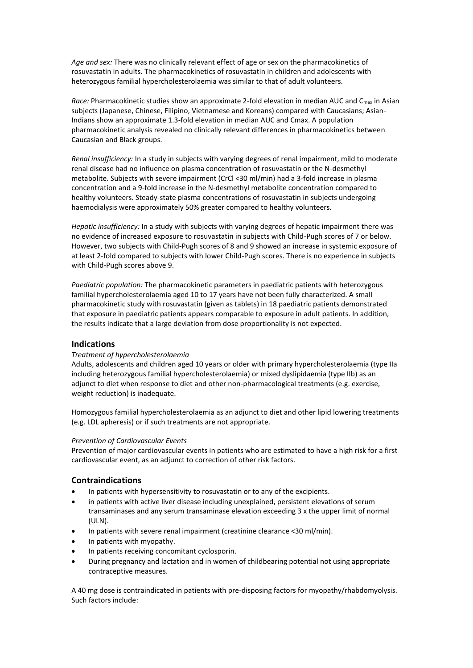*Age and sex:* There was no clinically relevant effect of age or sex on the pharmacokinetics of rosuvastatin in adults. The pharmacokinetics of rosuvastatin in children and adolescents with heterozygous familial hypercholesterolaemia was similar to that of adult volunteers.

*Race:* Pharmacokinetic studies show an approximate 2-fold elevation in median AUC and C<sub>max</sub> in Asian subjects (Japanese, Chinese, Filipino, Vietnamese and Koreans) compared with Caucasians; Asian-Indians show an approximate 1.3-fold elevation in median AUC and Cmax. A population pharmacokinetic analysis revealed no clinically relevant differences in pharmacokinetics between Caucasian and Black groups.

*Renal insufficiency:* In a study in subjects with varying degrees of renal impairment, mild to moderate renal disease had no influence on plasma concentration of rosuvastatin or the N-desmethyl metabolite. Subjects with severe impairment (CrCl <30 ml/min) had a 3-fold increase in plasma concentration and a 9-fold increase in the N-desmethyl metabolite concentration compared to healthy volunteers. Steady-state plasma concentrations of rosuvastatin in subjects undergoing haemodialysis were approximately 50% greater compared to healthy volunteers.

*Hepatic insufficiency:* In a study with subjects with varying degrees of hepatic impairment there was no evidence of increased exposure to rosuvastatin in subjects with Child-Pugh scores of 7 or below. However, two subjects with Child-Pugh scores of 8 and 9 showed an increase in systemic exposure of at least 2-fold compared to subjects with lower Child-Pugh scores. There is no experience in subjects with Child-Pugh scores above 9.

*Paediatric population:* The pharmacokinetic parameters in paediatric patients with heterozygous familial hypercholesterolaemia aged 10 to 17 years have not been fully characterized. A small pharmacokinetic study with rosuvastatin (given as tablets) in 18 paediatric patients demonstrated that exposure in paediatric patients appears comparable to exposure in adult patients. In addition, the results indicate that a large deviation from dose proportionality is not expected.

# **Indications**

### *Treatment of hypercholesterolaemia*

Adults, adolescents and children aged 10 years or older with primary hypercholesterolaemia (type IIa including heterozygous familial hypercholesterolaemia) or mixed dyslipidaemia (type IIb) as an adjunct to diet when response to diet and other non-pharmacological treatments (e.g. exercise, weight reduction) is inadequate.

Homozygous familial hypercholesterolaemia as an adjunct to diet and other lipid lowering treatments (e.g. LDL apheresis) or if such treatments are not appropriate.

#### *Prevention of Cardiovascular Events*

Prevention of major cardiovascular events in patients who are estimated to have a high risk for a first cardiovascular event, as an adjunct to correction of other risk factors.

### **Contraindications**

- In patients with hypersensitivity to rosuvastatin or to any of the excipients.
- in patients with active liver disease including unexplained, persistent elevations of serum transaminases and any serum transaminase elevation exceeding 3 x the upper limit of normal (ULN).
- In patients with severe renal impairment (creatinine clearance <30 ml/min).
- In patients with myopathy.
- In patients receiving concomitant cyclosporin.
- During pregnancy and lactation and in women of childbearing potential not using appropriate contraceptive measures.

A 40 mg dose is contraindicated in patients with pre-disposing factors for myopathy/rhabdomyolysis. Such factors include: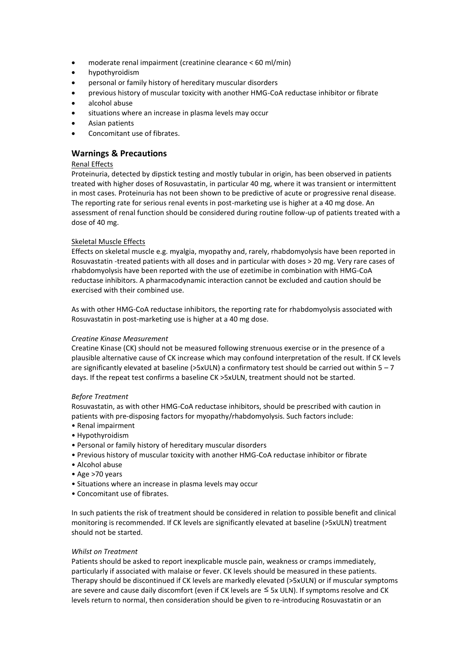- moderate renal impairment (creatinine clearance < 60 ml/min)
- hypothyroidism
- personal or family history of hereditary muscular disorders
- previous history of muscular toxicity with another HMG-CoA reductase inhibitor or fibrate
- alcohol abuse
- situations where an increase in plasma levels may occur
- Asian patients
- Concomitant use of fibrates.

# **Warnings & Precautions**

### Renal Effects

Proteinuria, detected by dipstick testing and mostly tubular in origin, has been observed in patients treated with higher doses of Rosuvastatin, in particular 40 mg, where it was transient or intermittent in most cases. Proteinuria has not been shown to be predictive of acute or progressive renal disease. The reporting rate for serious renal events in post-marketing use is higher at a 40 mg dose. An assessment of renal function should be considered during routine follow-up of patients treated with a dose of 40 mg.

### Skeletal Muscle Effects

Effects on skeletal muscle e.g. myalgia, myopathy and, rarely, rhabdomyolysis have been reported in Rosuvastatin -treated patients with all doses and in particular with doses > 20 mg. Very rare cases of rhabdomyolysis have been reported with the use of ezetimibe in combination with HMG-CoA reductase inhibitors. A pharmacodynamic interaction cannot be excluded and caution should be exercised with their combined use.

As with other HMG-CoA reductase inhibitors, the reporting rate for rhabdomyolysis associated with Rosuvastatin in post-marketing use is higher at a 40 mg dose.

### *Creatine Kinase Measurement*

Creatine Kinase (CK) should not be measured following strenuous exercise or in the presence of a plausible alternative cause of CK increase which may confound interpretation of the result. If CK levels are significantly elevated at baseline (>5xULN) a confirmatory test should be carried out within 5 – 7 days. If the repeat test confirms a baseline CK >5xULN, treatment should not be started.

### *Before Treatment*

Rosuvastatin, as with other HMG-CoA reductase inhibitors, should be prescribed with caution in patients with pre-disposing factors for myopathy/rhabdomyolysis. Such factors include:

- Renal impairment
- Hypothyroidism
- Personal or family history of hereditary muscular disorders
- Previous history of muscular toxicity with another HMG-CoA reductase inhibitor or fibrate
- Alcohol abuse
- Age >70 years
- Situations where an increase in plasma levels may occur
- Concomitant use of fibrates.

In such patients the risk of treatment should be considered in relation to possible benefit and clinical monitoring is recommended. If CK levels are significantly elevated at baseline (>5xULN) treatment should not be started.

### *Whilst on Treatment*

Patients should be asked to report inexplicable muscle pain, weakness or cramps immediately, particularly if associated with malaise or fever. CK levels should be measured in these patients. Therapy should be discontinued if CK levels are markedly elevated (>5xULN) or if muscular symptoms are severe and cause daily discomfort (even if CK levels are  $\leq$  5x ULN). If symptoms resolve and CK levels return to normal, then consideration should be given to re-introducing Rosuvastatin or an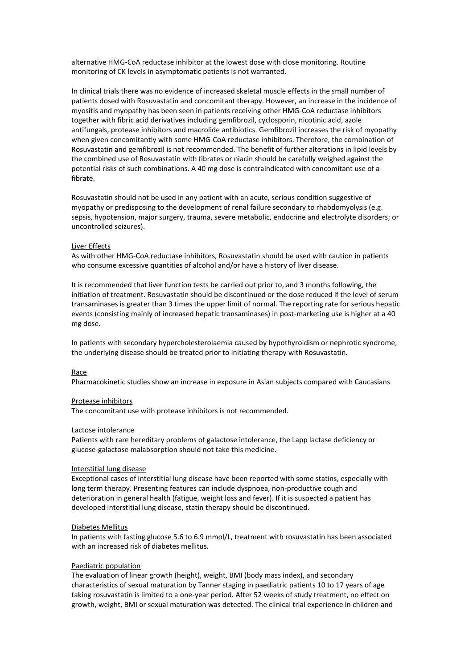alternative HMG-CoA reductase inhibitor at the lowest dose with close monitoring. Routine monitoring of CK levels in asymptomatic patients is not warranted.

In clinical trials there was no evidence of increased skeletal muscle effects in the small number of patients dosed with Rosuvastatin and concomitant therapy. However, an increase in the incidence of myositis and myopathy has been seen in patients receiving other HMG-CoA reductase inhibitors together with fibric acid derivatives including gemfibrozil, cyclosporin, nicotinic acid, azole antifungals, protease inhibitors and macrolide antibiotics. Gemfibrozil increases the risk of myopathy when given concomitantly with some HMG-CoA reductase inhibitors. Therefore, the combination of Rosuvastatin and gemfibrozil is not recommended. The benefit of further alterations in lipid levels by the combined use of Rosuvastatin with fibrates or niacin should be carefully weighed against the potential risks of such combinations. A 40 mg dose is contraindicated with concomitant use of a fibrate.

Rosuvastatin should not be used in any patient with an acute, serious condition suggestive of myopathy or predisposing to the development of renal failure secondary to rhabdomyolysis (e.g. sepsis, hypotension, major surgery, trauma, severe metabolic, endocrine and electrolyte disorders; or uncontrolled seizures).

#### Liver Effects

As with other HMG-CoA reductase inhibitors, Rosuvastatin should be used with caution in patients who consume excessive quantities of alcohol and/or have a history of liver disease.

It is recommended that liver function tests be carried out prior to, and 3 months following, the initiation of treatment. Rosuvastatin should be discontinued or the dose reduced if the level of serum transaminases is greater than 3 times the upper limit of normal. The reporting rate for serious hepatic events (consisting mainly of increased hepatic transaminases) in post-marketing use is higher at a 40 mg dose.

In patients with secondary hypercholesterolaemia caused by hypothyroidism or nephrotic syndrome, the underlying disease should be treated prior to initiating therapy with Rosuvastatin.

#### Race

Pharmacokinetic studies show an increase in exposure in Asian subjects compared with Caucasians

#### Protease inhibitors

The concomitant use with protease inhibitors is not recommended.

#### Lactose intolerance

Patients with rare hereditary problems of galactose intolerance, the Lapp lactase deficiency or glucose-galactose malabsorption should not take this medicine.

#### Interstitial lung disease

Exceptional cases of interstitial lung disease have been reported with some statins, especially with long term therapy. Presenting features can include dyspnoea, non-productive cough and deterioration in general health (fatigue, weight loss and fever). If it is suspected a patient has developed interstitial lung disease, statin therapy should be discontinued.

#### Diabetes Mellitus

In patients with fasting glucose 5.6 to 6.9 mmol/L, treatment with rosuvastatin has been associated with an increased risk of diabetes mellitus.

### Paediatric population

The evaluation of linear growth (height), weight, BMI (body mass index), and secondary characteristics of sexual maturation by Tanner staging in paediatric patients 10 to 17 years of age taking rosuvastatin is limited to a one-year period. After 52 weeks of study treatment, no effect on growth, weight, BMI or sexual maturation was detected. The clinical trial experience in children and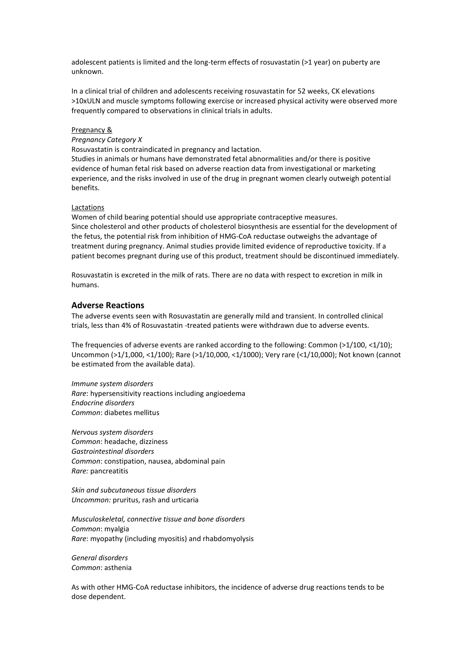adolescent patients is limited and the long-term effects of rosuvastatin (>1 year) on puberty are unknown.

In a clinical trial of children and adolescents receiving rosuvastatin for 52 weeks, CK elevations >10xULN and muscle symptoms following exercise or increased physical activity were observed more frequently compared to observations in clinical trials in adults.

#### Pregnancy &

### *Pregnancy Category X*

Rosuvastatin is contraindicated in pregnancy and lactation.

Studies in animals or humans have demonstrated fetal abnormalities and/or there is positive evidence of human fetal risk based on adverse reaction data from investigational or marketing experience, and the risks involved in use of the drug in pregnant women clearly outweigh potential benefits.

#### Lactations

Women of child bearing potential should use appropriate contraceptive measures. Since cholesterol and other products of cholesterol biosynthesis are essential for the development of the fetus, the potential risk from inhibition of HMG-CoA reductase outweighs the advantage of treatment during pregnancy. Animal studies provide limited evidence of reproductive toxicity. If a patient becomes pregnant during use of this product, treatment should be discontinued immediately.

Rosuvastatin is excreted in the milk of rats. There are no data with respect to excretion in milk in humans.

#### **Adverse Reactions**

The adverse events seen with Rosuvastatin are generally mild and transient. In controlled clinical trials, less than 4% of Rosuvastatin -treated patients were withdrawn due to adverse events.

The frequencies of adverse events are ranked according to the following: Common (>1/100, <1/10); Uncommon (>1/1,000, <1/100); Rare (>1/10,000, <1/1000); Very rare (<1/10,000); Not known (cannot be estimated from the available data).

*Immune system disorders Rare*: hypersensitivity reactions including angioedema *Endocrine disorders Common*: diabetes mellitus

*Nervous system disorders Common*: headache, dizziness *Gastrointestinal disorders Common*: constipation, nausea, abdominal pain *Rare:* pancreatitis

*Skin and subcutaneous tissue disorders Uncommon:* pruritus, rash and urticaria

*Musculoskeletal, connective tissue and bone disorders Common*: myalgia *Rare*: myopathy (including myositis) and rhabdomyolysis

*General disorders Common*: asthenia

As with other HMG-CoA reductase inhibitors, the incidence of adverse drug reactions tends to be dose dependent.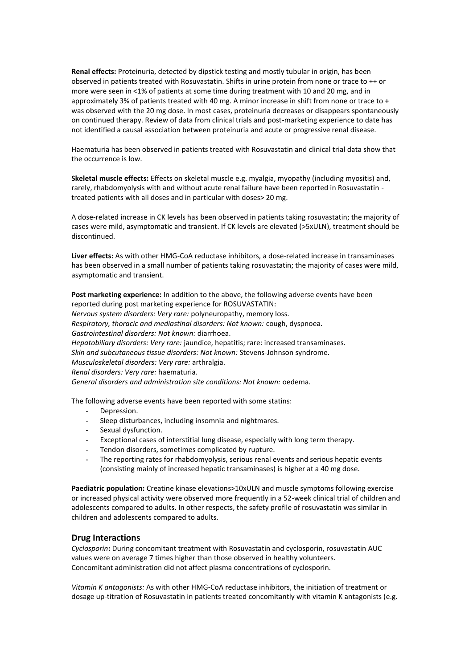**Renal effects:** Proteinuria, detected by dipstick testing and mostly tubular in origin, has been observed in patients treated with Rosuvastatin. Shifts in urine protein from none or trace to ++ or more were seen in <1% of patients at some time during treatment with 10 and 20 mg, and in approximately 3% of patients treated with 40 mg. A minor increase in shift from none or trace to + was observed with the 20 mg dose. In most cases, proteinuria decreases or disappears spontaneously on continued therapy. Review of data from clinical trials and post-marketing experience to date has not identified a causal association between proteinuria and acute or progressive renal disease.

Haematuria has been observed in patients treated with Rosuvastatin and clinical trial data show that the occurrence is low.

**Skeletal muscle effects:** Effects on skeletal muscle e.g. myalgia, myopathy (including myositis) and, rarely, rhabdomyolysis with and without acute renal failure have been reported in Rosuvastatin treated patients with all doses and in particular with doses> 20 mg.

A dose-related increase in CK levels has been observed in patients taking rosuvastatin; the majority of cases were mild, asymptomatic and transient. If CK levels are elevated (>5xULN), treatment should be discontinued.

**Liver effects:** As with other HMG-CoA reductase inhibitors, a dose-related increase in transaminases has been observed in a small number of patients taking rosuvastatin; the majority of cases were mild, asymptomatic and transient.

**Post marketing experience:** In addition to the above, the following adverse events have been reported during post marketing experience for ROSUVASTATIN: *Nervous system disorders: Very rare:* polyneuropathy, memory loss. *Respiratory, thoracic and mediastinal disorders: Not known:* cough, dyspnoea. *Gastrointestinal disorders: Not known:* diarrhoea. *Hepatobiliary disorders: Very rare:* jaundice, hepatitis; rare: increased transaminases. *Skin and subcutaneous tissue disorders: Not known:* Stevens-Johnson syndrome. *Musculoskeletal disorders: Very rare:* arthralgia. *Renal disorders: Very rare:* haematuria. *General disorders and administration site conditions: Not known:* oedema.

The following adverse events have been reported with some statins:

- Depression.
- Sleep disturbances, including insomnia and nightmares.
- Sexual dysfunction.
- Exceptional cases of interstitial lung disease, especially with long term therapy.
- Tendon disorders, sometimes complicated by rupture.
- The reporting rates for rhabdomyolysis, serious renal events and serious hepatic events (consisting mainly of increased hepatic transaminases) is higher at a 40 mg dose.

**Paediatric population:** Creatine kinase elevations>10xULN and muscle symptoms following exercise or increased physical activity were observed more frequently in a 52-week clinical trial of children and adolescents compared to adults. In other respects, the safety profile of rosuvastatin was similar in children and adolescents compared to adults.

### **Drug Interactions**

*Cyclosporin***:** During concomitant treatment with Rosuvastatin and cyclosporin, rosuvastatin AUC values were on average 7 times higher than those observed in healthy volunteers. Concomitant administration did not affect plasma concentrations of cyclosporin.

*Vitamin K antagonists:* As with other HMG-CoA reductase inhibitors, the initiation of treatment or dosage up-titration of Rosuvastatin in patients treated concomitantly with vitamin K antagonists (e.g.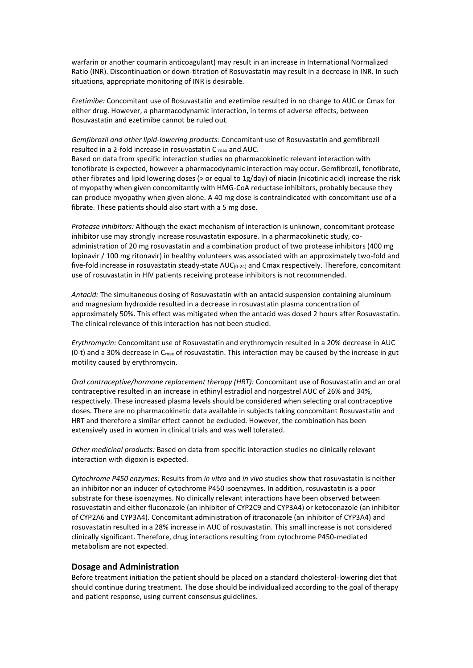warfarin or another coumarin anticoagulant) may result in an increase in International Normalized Ratio (INR). Discontinuation or down-titration of Rosuvastatin may result in a decrease in INR. In such situations, appropriate monitoring of INR is desirable.

*Ezetimibe:* Concomitant use of Rosuvastatin and ezetimibe resulted in no change to AUC or Cmax for either drug. However, a pharmacodynamic interaction, in terms of adverse effects, between Rosuvastatin and ezetimibe cannot be ruled out.

*Gemfibrozil and other lipid-lowering products:* Concomitant use of Rosuvastatin and gemfibrozil resulted in a 2-fold increase in rosuvastatin C max and AUC.

Based on data from specific interaction studies no pharmacokinetic relevant interaction with fenofibrate is expected, however a pharmacodynamic interaction may occur. Gemfibrozil, fenofibrate, other fibrates and lipid lowering doses (> or equal to 1g/day) of niacin (nicotinic acid) increase the risk of myopathy when given concomitantly with HMG-CoA reductase inhibitors, probably because they can produce myopathy when given alone. A 40 mg dose is contraindicated with concomitant use of a fibrate. These patients should also start with a 5 mg dose.

*Protease inhibitors:* Although the exact mechanism of interaction is unknown, concomitant protease inhibitor use may strongly increase rosuvastatin exposure. In a pharmacokinetic study, coadministration of 20 mg rosuvastatin and a combination product of two protease inhibitors (400 mg lopinavir / 100 mg ritonavir) in healthy volunteers was associated with an approximately two-fold and five-fold increase in rosuvastatin steady-state  $AUC_{(0-24)}$  and Cmax respectively. Therefore, concomitant use of rosuvastatin in HIV patients receiving protease inhibitors is not recommended.

*Antacid:* The simultaneous dosing of Rosuvastatin with an antacid suspension containing aluminum and magnesium hydroxide resulted in a decrease in rosuvastatin plasma concentration of approximately 50%. This effect was mitigated when the antacid was dosed 2 hours after Rosuvastatin. The clinical relevance of this interaction has not been studied.

*Erythromycin:* Concomitant use of Rosuvastatin and erythromycin resulted in a 20% decrease in AUC (0-t) and a 30% decrease in  $C_{\text{max}}$  of rosuvastatin. This interaction may be caused by the increase in gut motility caused by erythromycin.

*Oral contraceptive/hormone replacement therapy (HRT):* Concomitant use of Rosuvastatin and an oral contraceptive resulted in an increase in ethinyl estradiol and norgestrel AUC of 26% and 34%, respectively. These increased plasma levels should be considered when selecting oral contraceptive doses. There are no pharmacokinetic data available in subjects taking concomitant Rosuvastatin and HRT and therefore a similar effect cannot be excluded. However, the combination has been extensively used in women in clinical trials and was well tolerated.

*Other medicinal products:* Based on data from specific interaction studies no clinically relevant interaction with digoxin is expected.

*Cytochrome P450 enzymes:* Results from *in vitro* and *in vivo* studies show that rosuvastatin is neither an inhibitor nor an inducer of cytochrome P450 isoenzymes. In addition, rosuvastatin is a poor substrate for these isoenzymes. No clinically relevant interactions have been observed between rosuvastatin and either fluconazole (an inhibitor of CYP2C9 and CYP3A4) or ketoconazole (an inhibitor of CYP2A6 and CYP3A4). Concomitant administration of itraconazole (an inhibitor of CYP3A4) and rosuvastatin resulted in a 28% increase in AUC of rosuvastatin. This small increase is not considered clinically significant. Therefore, drug interactions resulting from cytochrome P450-mediated metabolism are not expected.

### **Dosage and Administration**

Before treatment initiation the patient should be placed on a standard cholesterol-lowering diet that should continue during treatment. The dose should be individualized according to the goal of therapy and patient response, using current consensus guidelines.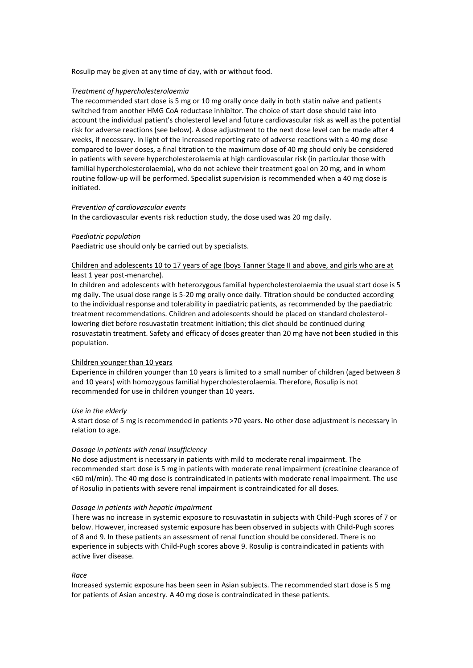Rosulip may be given at any time of day, with or without food.

#### *Treatment of hypercholesterolaemia*

The recommended start dose is 5 mg or 10 mg orally once daily in both statin naïve and patients switched from another HMG CoA reductase inhibitor. The choice of start dose should take into account the individual patient's cholesterol level and future cardiovascular risk as well as the potential risk for adverse reactions (see below). A dose adjustment to the next dose level can be made after 4 weeks, if necessary. In light of the increased reporting rate of adverse reactions with a 40 mg dose compared to lower doses, a final titration to the maximum dose of 40 mg should only be considered in patients with severe hypercholesterolaemia at high cardiovascular risk (in particular those with familial hypercholesterolaemia), who do not achieve their treatment goal on 20 mg, and in whom routine follow-up will be performed. Specialist supervision is recommended when a 40 mg dose is initiated.

#### *Prevention of cardiovascular events*

In the cardiovascular events risk reduction study, the dose used was 20 mg daily.

### *Paediatric population*

Paediatric use should only be carried out by specialists.

### Children and adolescents 10 to 17 years of age (boys Tanner Stage II and above, and girls who are at least 1 year post-menarche).

In children and adolescents with heterozygous familial hypercholesterolaemia the usual start dose is 5 mg daily. The usual dose range is 5-20 mg orally once daily. Titration should be conducted according to the individual response and tolerability in paediatric patients, as recommended by the paediatric treatment recommendations. Children and adolescents should be placed on standard cholesterollowering diet before rosuvastatin treatment initiation; this diet should be continued during rosuvastatin treatment. Safety and efficacy of doses greater than 20 mg have not been studied in this population.

### Children younger than 10 years

Experience in children younger than 10 years is limited to a small number of children (aged between 8 and 10 years) with homozygous familial hypercholesterolaemia. Therefore, Rosulip is not recommended for use in children younger than 10 years.

#### *Use in the elderly*

A start dose of 5 mg is recommended in patients >70 years. No other dose adjustment is necessary in relation to age.

#### *Dosage in patients with renal insufficiency*

No dose adjustment is necessary in patients with mild to moderate renal impairment. The recommended start dose is 5 mg in patients with moderate renal impairment (creatinine clearance of <60 ml/min). The 40 mg dose is contraindicated in patients with moderate renal impairment. The use of Rosulip in patients with severe renal impairment is contraindicated for all doses.

#### *Dosage in patients with hepatic impairment*

There was no increase in systemic exposure to rosuvastatin in subjects with Child-Pugh scores of 7 or below. However, increased systemic exposure has been observed in subjects with Child-Pugh scores of 8 and 9. In these patients an assessment of renal function should be considered. There is no experience in subjects with Child-Pugh scores above 9. Rosulip is contraindicated in patients with active liver disease.

#### *Race*

Increased systemic exposure has been seen in Asian subjects. The recommended start dose is 5 mg for patients of Asian ancestry. A 40 mg dose is contraindicated in these patients.